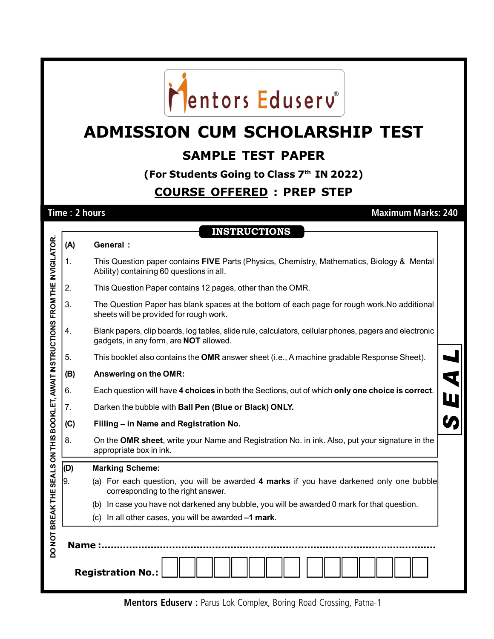

# **ADMISSION CUM SCHOLARSHIP TEST**

### **SAMPLE TEST PAPER**

**(For Students Going to Class 7th IN 2022)**

#### **COURSE OFFERED : PREP STEP**

**Time : 2 hours Maximum Marks: 240**

**INSTRUCTIONS**

| (A)                                                                                                                   | <b>General:</b>                                                                                                                                         |  |  |  |  |  |  |  |  |
|-----------------------------------------------------------------------------------------------------------------------|---------------------------------------------------------------------------------------------------------------------------------------------------------|--|--|--|--|--|--|--|--|
| 1.                                                                                                                    | This Question paper contains FIVE Parts (Physics, Chemistry, Mathematics, Biology & Mental<br>Ability) containing 60 questions in all.                  |  |  |  |  |  |  |  |  |
| 2.                                                                                                                    | This Question Paper contains 12 pages, other than the OMR.                                                                                              |  |  |  |  |  |  |  |  |
| 3.                                                                                                                    | The Question Paper has blank spaces at the bottom of each page for rough work. No additional<br>sheets will be provided for rough work.                 |  |  |  |  |  |  |  |  |
| 4.                                                                                                                    | Blank papers, clip boards, log tables, slide rule, calculators, cellular phones, pagers and electronic<br>gadgets, in any form, are <b>NOT</b> allowed. |  |  |  |  |  |  |  |  |
| 5.                                                                                                                    | This booklet also contains the OMR answer sheet (i.e., A machine gradable Response Sheet).                                                              |  |  |  |  |  |  |  |  |
| (B)                                                                                                                   | Answering on the OMR:                                                                                                                                   |  |  |  |  |  |  |  |  |
| 6.                                                                                                                    | Each question will have 4 choices in both the Sections, out of which only one choice is correct.<br>Ш                                                   |  |  |  |  |  |  |  |  |
| 7.                                                                                                                    | Darken the bubble with Ball Pen (Blue or Black) ONLY.                                                                                                   |  |  |  |  |  |  |  |  |
| (C)                                                                                                                   | Filling - in Name and Registration No.                                                                                                                  |  |  |  |  |  |  |  |  |
| 8.                                                                                                                    | On the OMR sheet, write your Name and Registration No. in ink. Also, put your signature in the<br>appropriate box in ink.                               |  |  |  |  |  |  |  |  |
| (D)                                                                                                                   | <b>Marking Scheme:</b>                                                                                                                                  |  |  |  |  |  |  |  |  |
| 9.                                                                                                                    | (a) For each question, you will be awarded 4 marks if you have darkened only one bubble<br>corresponding to the right answer.                           |  |  |  |  |  |  |  |  |
|                                                                                                                       | In case you have not darkened any bubble, you will be awarded 0 mark for that question.<br>(b)                                                          |  |  |  |  |  |  |  |  |
|                                                                                                                       | (c) In all other cases, you will be awarded -1 mark.                                                                                                    |  |  |  |  |  |  |  |  |
| DO NOT BREAK THE SEALS ON THIS BOOKLET, AWAIT INSTRUCTIONS FROM THE INVIGILATOR.<br>Name:<br><b>Registration No.:</b> |                                                                                                                                                         |  |  |  |  |  |  |  |  |
|                                                                                                                       |                                                                                                                                                         |  |  |  |  |  |  |  |  |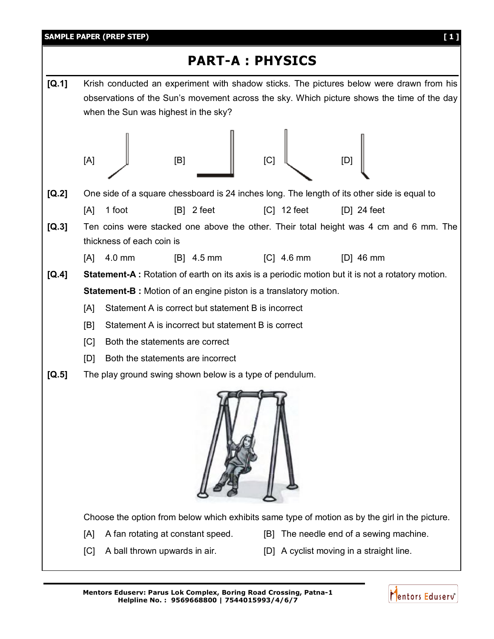

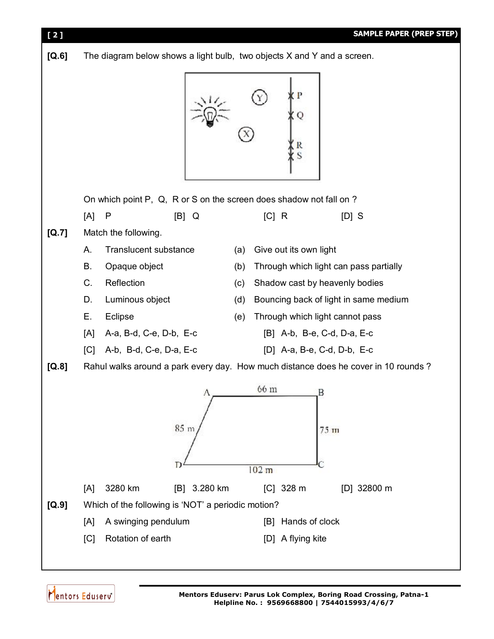

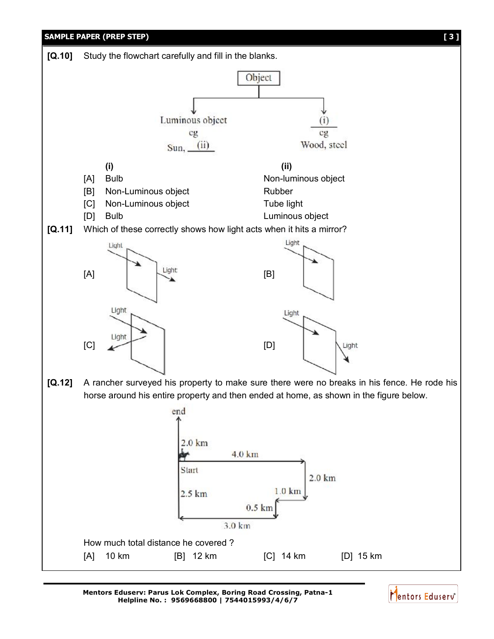

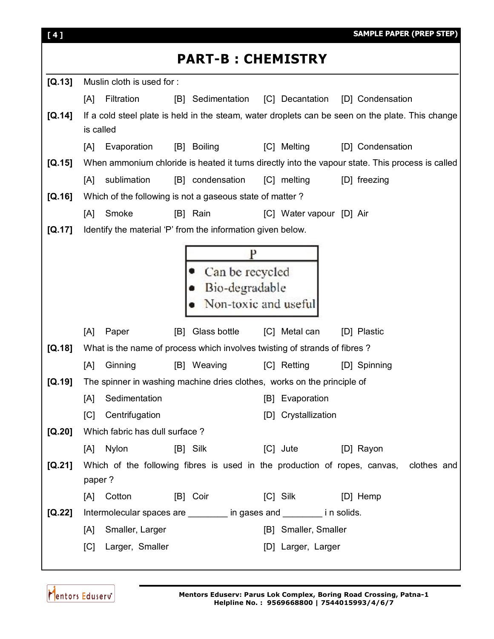| [4]                      |                                                                           | <b>SAMPLE PAPER (PREP STEP)</b>                                                                  |  |  |  |  |  |  |  |  |
|--------------------------|---------------------------------------------------------------------------|--------------------------------------------------------------------------------------------------|--|--|--|--|--|--|--|--|
| <b>PART-B: CHEMISTRY</b> |                                                                           |                                                                                                  |  |  |  |  |  |  |  |  |
| [Q.13]                   | Muslin cloth is used for:                                                 |                                                                                                  |  |  |  |  |  |  |  |  |
|                          | Filtration<br>[B] Sedimentation<br>[A]                                    | [C] Decantation<br>[D] Condensation                                                              |  |  |  |  |  |  |  |  |
| [Q.14]                   | is called                                                                 | If a cold steel plate is held in the steam, water droplets can be seen on the plate. This change |  |  |  |  |  |  |  |  |
|                          | Evaporation<br><b>Boiling</b><br>[A]<br>[B]                               | [C] Melting<br>[D] Condensation                                                                  |  |  |  |  |  |  |  |  |
| [Q.15]                   |                                                                           | When ammonium chloride is heated it turns directly into the vapour state. This process is called |  |  |  |  |  |  |  |  |
|                          | sublimation<br>[B] condensation<br>[A]                                    | [C] melting<br>[D] freezing                                                                      |  |  |  |  |  |  |  |  |
| [Q.16]                   | Which of the following is not a gaseous state of matter?                  |                                                                                                  |  |  |  |  |  |  |  |  |
|                          | Smoke<br>[A]<br>[B] Rain                                                  | [C] Water vapour [D] Air                                                                         |  |  |  |  |  |  |  |  |
| [Q.17]                   | Identify the material 'P' from the information given below.               |                                                                                                  |  |  |  |  |  |  |  |  |
|                          |                                                                           |                                                                                                  |  |  |  |  |  |  |  |  |
|                          |                                                                           |                                                                                                  |  |  |  |  |  |  |  |  |
|                          | Can be recycled<br>Bio-degradable                                         |                                                                                                  |  |  |  |  |  |  |  |  |
|                          | Non-toxic and useful                                                      |                                                                                                  |  |  |  |  |  |  |  |  |
|                          |                                                                           |                                                                                                  |  |  |  |  |  |  |  |  |
|                          | [B] Glass bottle<br>[A]<br>Paper                                          | [C] Metal can<br>[D] Plastic                                                                     |  |  |  |  |  |  |  |  |
| [Q.18]                   | What is the name of process which involves twisting of strands of fibres? |                                                                                                  |  |  |  |  |  |  |  |  |
|                          | Ginning<br>[B] Weaving<br>[A]                                             | [C] Retting<br>[D] Spinning                                                                      |  |  |  |  |  |  |  |  |
| [Q.19]                   | The spinner in washing machine dries clothes, works on the principle of   |                                                                                                  |  |  |  |  |  |  |  |  |
|                          | Sedimentation<br>[A]                                                      | [B] Evaporation                                                                                  |  |  |  |  |  |  |  |  |
|                          | Centrifugation<br>[C]                                                     | [D] Crystallization                                                                              |  |  |  |  |  |  |  |  |
| [Q.20]                   | Which fabric has dull surface?                                            |                                                                                                  |  |  |  |  |  |  |  |  |
|                          | [A] Nylon<br>$[B]$ Silk                                                   | [C] Jute<br>[D] Rayon                                                                            |  |  |  |  |  |  |  |  |
| [Q.21]                   | Which of the following fibres is used in the production of ropes, canvas, | clothes and                                                                                      |  |  |  |  |  |  |  |  |
|                          | paper?                                                                    |                                                                                                  |  |  |  |  |  |  |  |  |
|                          | [A] Cotton<br>[B] Coir                                                    | [C] Silk [D] Hemp                                                                                |  |  |  |  |  |  |  |  |
| $[Q.22]$                 | Intermolecular spaces are ________ in gases and _______ in solids.        |                                                                                                  |  |  |  |  |  |  |  |  |
|                          | [A] Smaller, Larger                                                       | [B] Smaller, Smaller                                                                             |  |  |  |  |  |  |  |  |
|                          | Larger, Smaller<br>[C]                                                    | [D] Larger, Larger                                                                               |  |  |  |  |  |  |  |  |
|                          |                                                                           |                                                                                                  |  |  |  |  |  |  |  |  |

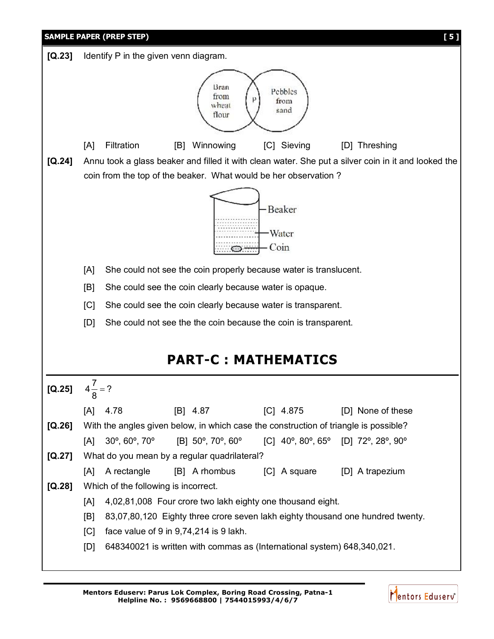| <b>SAMPLE PAPER (PREP STEP)</b><br>[5] |                                                                                                     |                                                                                                                                                                  |  |  |  |  |  |  |  |
|----------------------------------------|-----------------------------------------------------------------------------------------------------|------------------------------------------------------------------------------------------------------------------------------------------------------------------|--|--|--|--|--|--|--|
| [Q.23]                                 | Identify P in the given venn diagram.                                                               |                                                                                                                                                                  |  |  |  |  |  |  |  |
|                                        |                                                                                                     | Bran<br>Pebbles<br>from<br>from<br>wheat<br>sand<br>flour                                                                                                        |  |  |  |  |  |  |  |
|                                        | [A]                                                                                                 | Filtration<br>Winnowing<br>[C] Sieving<br>[D] Threshing<br>[B]                                                                                                   |  |  |  |  |  |  |  |
| [Q.24]                                 | Annu took a glass beaker and filled it with clean water. She put a silver coin in it and looked the |                                                                                                                                                                  |  |  |  |  |  |  |  |
|                                        | coin from the top of the beaker. What would be her observation?                                     |                                                                                                                                                                  |  |  |  |  |  |  |  |
|                                        | -Beaker<br>Water<br>Coin                                                                            |                                                                                                                                                                  |  |  |  |  |  |  |  |
|                                        | She could not see the coin properly because water is translucent.<br>[A]                            |                                                                                                                                                                  |  |  |  |  |  |  |  |
|                                        | [B]<br>She could see the coin clearly because water is opaque.                                      |                                                                                                                                                                  |  |  |  |  |  |  |  |
|                                        | [C]                                                                                                 | She could see the coin clearly because water is transparent.                                                                                                     |  |  |  |  |  |  |  |
|                                        | [D]<br>She could not see the the coin because the coin is transparent.                              |                                                                                                                                                                  |  |  |  |  |  |  |  |
|                                        |                                                                                                     |                                                                                                                                                                  |  |  |  |  |  |  |  |
|                                        |                                                                                                     | <b>PART-C: MATHEMATICS</b>                                                                                                                                       |  |  |  |  |  |  |  |
| $[Q.25]$                               | $4^{2}8$                                                                                            | ?                                                                                                                                                                |  |  |  |  |  |  |  |
|                                        | [A]                                                                                                 | $[B]$ 4.87<br>$[C]$ 4.875<br>4.78<br>[D] None of these                                                                                                           |  |  |  |  |  |  |  |
| $[Q.26]$                               |                                                                                                     | With the angles given below, in which case the construction of triangle is possible?                                                                             |  |  |  |  |  |  |  |
|                                        | [A]                                                                                                 | $30^{\circ}$ , $60^{\circ}$ , $70^{\circ}$<br>[B] 50°, 70°, 60°<br>[C] $40^{\circ}$ , $80^{\circ}$ , $65^{\circ}$ [D] $72^{\circ}$ , $28^{\circ}$ , $90^{\circ}$ |  |  |  |  |  |  |  |
| $[Q.27]$                               |                                                                                                     | What do you mean by a regular quadrilateral?                                                                                                                     |  |  |  |  |  |  |  |
|                                        | [A]                                                                                                 | A rectangle<br>[C] A square [D] A trapezium<br>[B] A rhombus                                                                                                     |  |  |  |  |  |  |  |
| [Q.28]                                 |                                                                                                     | Which of the following is incorrect.                                                                                                                             |  |  |  |  |  |  |  |
|                                        |                                                                                                     | 4,02,81,008 Four crore two lakh eighty one thousand eight.<br>[A]                                                                                                |  |  |  |  |  |  |  |
|                                        |                                                                                                     | 83,07,80,120 Eighty three crore seven lakh eighty thousand one hundred twenty.<br>[B]                                                                            |  |  |  |  |  |  |  |
|                                        | [C]                                                                                                 | face value of 9 in 9,74,214 is 9 lakh.<br>[D]<br>648340021 is written with commas as (International system) 648,340,021.                                         |  |  |  |  |  |  |  |
|                                        |                                                                                                     |                                                                                                                                                                  |  |  |  |  |  |  |  |

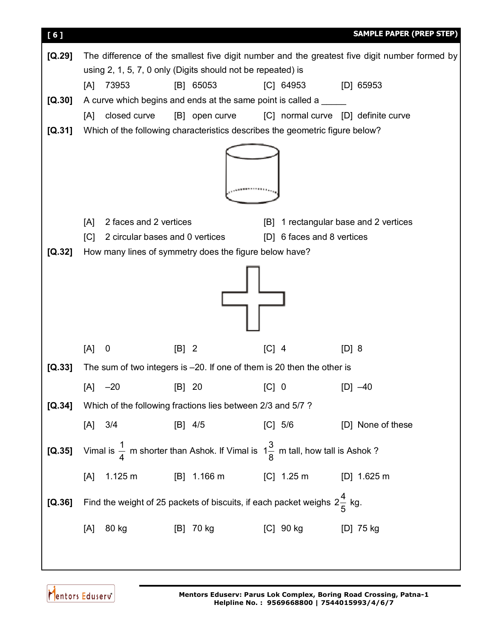

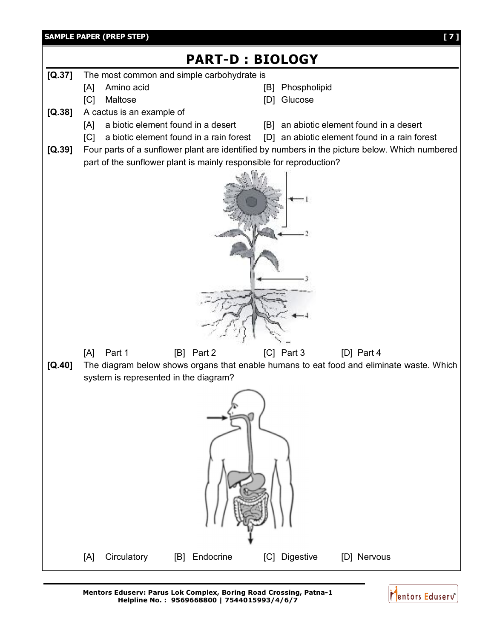

**Mentors Eduserv: Parus Lok Complex, Boring Road Crossing, Patna-1 Helpline No. : 9569668800 | 7544015993/4/6/7**

Mentors Eduserv<sup>®</sup>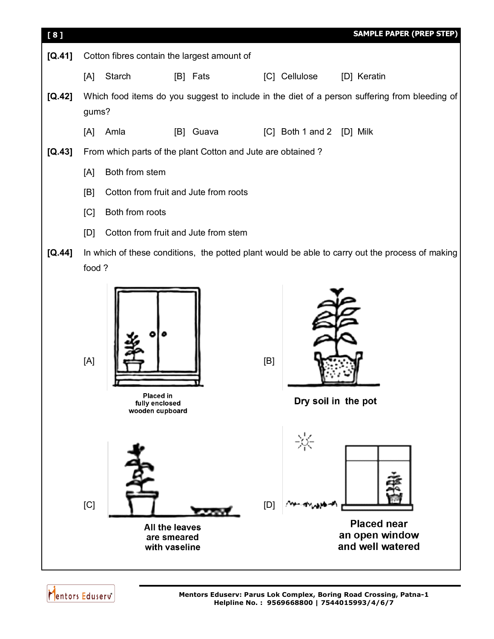

**Placed near** an open window and well watered



**All the leaves** 

are smeared

with vaseline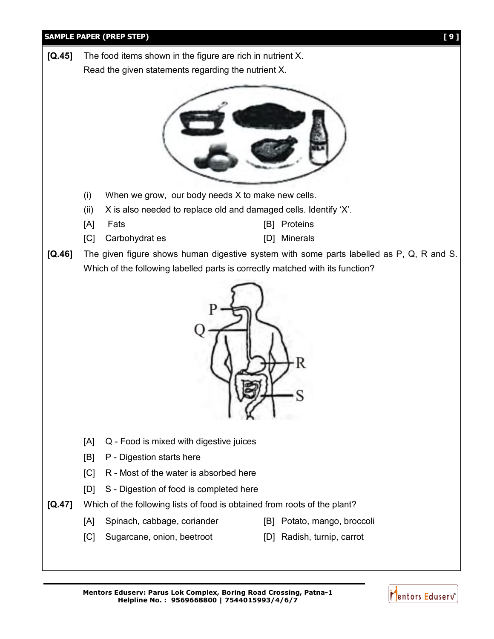

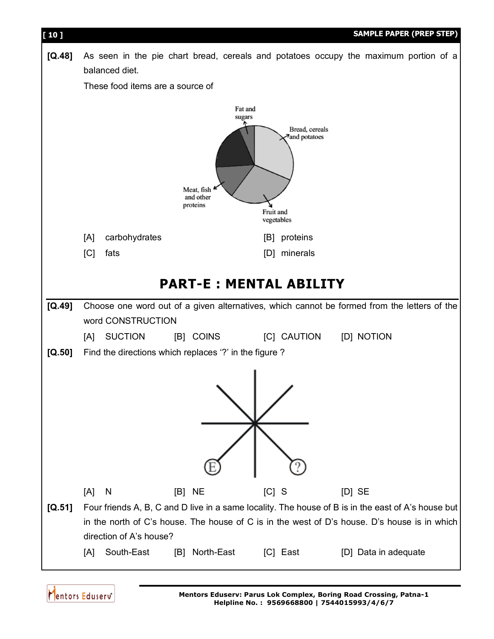

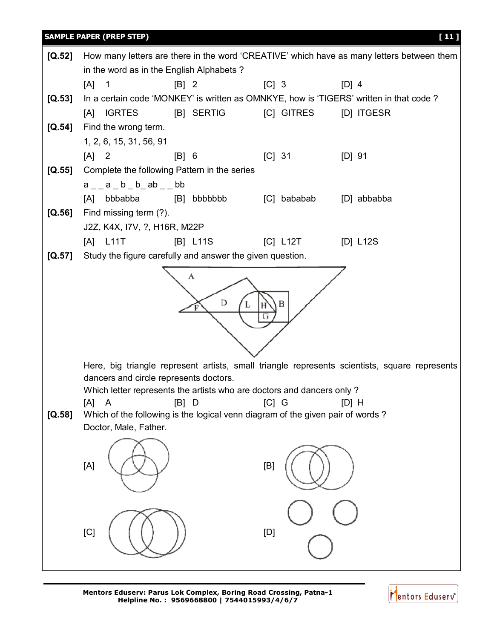

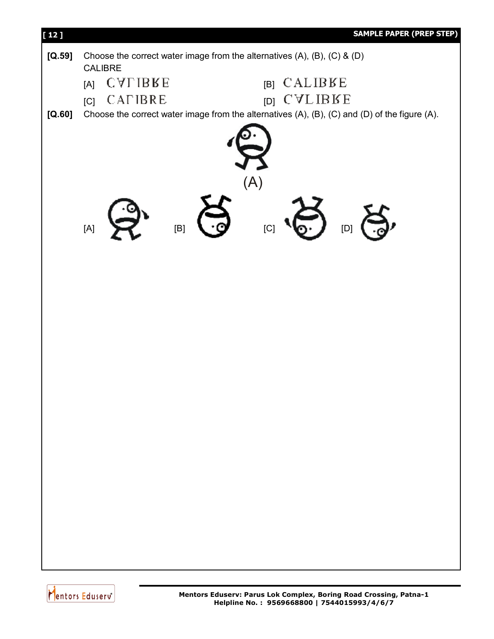